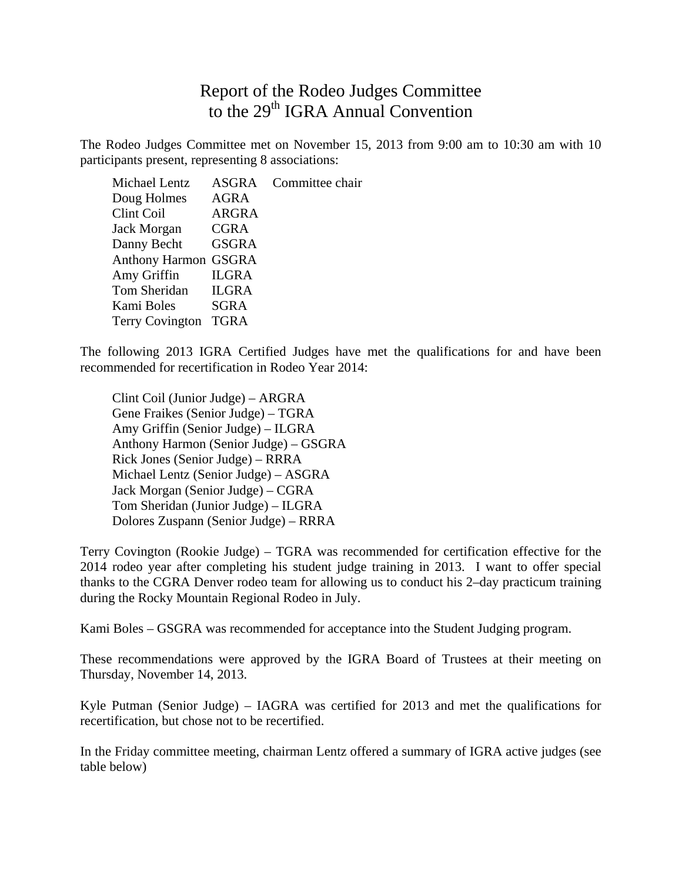## Report of the Rodeo Judges Committee to the 29<sup>th</sup> IGRA Annual Convention

The Rodeo Judges Committee met on November 15, 2013 from 9:00 am to 10:30 am with 10 participants present, representing 8 associations:

Michael Lentz ASGRA Committee chair Doug Holmes AGRA Clint Coil ARGRA Jack Morgan CGRA Danny Becht GSGRA Anthony Harmon GSGRA Amy Griffin ILGRA Tom Sheridan ILGRA Kami Boles SGRA Terry Covington TGRA

The following 2013 IGRA Certified Judges have met the qualifications for and have been recommended for recertification in Rodeo Year 2014:

Clint Coil (Junior Judge) – ARGRA Gene Fraikes (Senior Judge) – TGRA Amy Griffin (Senior Judge) – ILGRA Anthony Harmon (Senior Judge) – GSGRA Rick Jones (Senior Judge) – RRRA Michael Lentz (Senior Judge) – ASGRA Jack Morgan (Senior Judge) – CGRA Tom Sheridan (Junior Judge) – ILGRA Dolores Zuspann (Senior Judge) – RRRA

Terry Covington (Rookie Judge) – TGRA was recommended for certification effective for the 2014 rodeo year after completing his student judge training in 2013. I want to offer special thanks to the CGRA Denver rodeo team for allowing us to conduct his 2–day practicum training during the Rocky Mountain Regional Rodeo in July.

Kami Boles – GSGRA was recommended for acceptance into the Student Judging program.

These recommendations were approved by the IGRA Board of Trustees at their meeting on Thursday, November 14, 2013.

Kyle Putman (Senior Judge) – IAGRA was certified for 2013 and met the qualifications for recertification, but chose not to be recertified.

In the Friday committee meeting, chairman Lentz offered a summary of IGRA active judges (see table below)